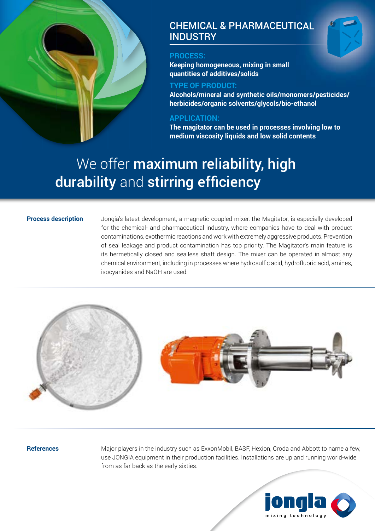

# CHEMICAL & PHARMACEUTICAL **INDUSTRY**

# **PROCESS:**

**Keeping homogeneous, mixing in small quantities of additives/solids** 

# **TYPE OF PRODUCT:**

**Alcohols/mineral and synthetic oils/monomers/pesticides/ herbicides/organic solvents/glycols/bio-ethanol**

### **APPLICATION:**

**The magitator can be used in processes involving low to medium viscosity liquids and low solid contents**

# We offer maximum reliability, high durability and stirring efficiency

#### **Process description**

Jongia's latest development, a magnetic coupled mixer, the Magitator, is especially developed for the chemical- and pharmaceutical industry, where companies have to deal with product contaminations, exothermic reactions and work with extremely aggressive products. Prevention of seal leakage and product contamination has top priority. The Magitator's main feature is its hermetically closed and sealless shaft design. The mixer can be operated in almost any chemical environment, including in processes where hydrosulfic acid, hydrofluoric acid, amines, isocyanides and NaOH are used.



#### **References**

Major players in the industry such as ExxonMobil, BASF, Hexion, Croda and Abbott to name a few, use JONGIA equipment in their production facilities. Installations are up and running world-wide from as far back as the early sixties.

![](_page_0_Picture_14.jpeg)